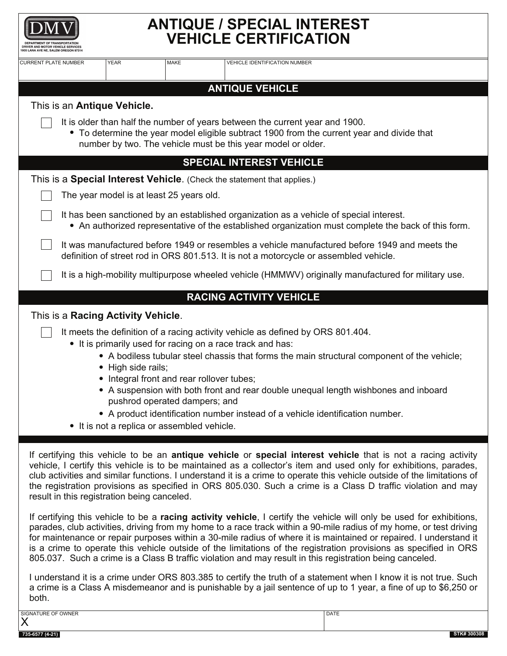

## **ANTIQUE / SPECIAL INTEREST VEHICLE CERTIFICATION**

| <b>CURRENT PLATE NUMBER</b>                                                                                                                                                                                                                                                                                                                                                                                                                                                                                                                                                                                                                                                                                                                                                                                                                                                                                                                                                                                                                                                                                                                                                                                                                                                                                                                                               | <b>YEAR</b>                                                                                                    | <b>MAKE</b>                   | <b>VEHICLE IDENTIFICATION NUMBER</b>                                                                                                                                                                                           |                                                                                                                                                                                    |  |  |  |
|---------------------------------------------------------------------------------------------------------------------------------------------------------------------------------------------------------------------------------------------------------------------------------------------------------------------------------------------------------------------------------------------------------------------------------------------------------------------------------------------------------------------------------------------------------------------------------------------------------------------------------------------------------------------------------------------------------------------------------------------------------------------------------------------------------------------------------------------------------------------------------------------------------------------------------------------------------------------------------------------------------------------------------------------------------------------------------------------------------------------------------------------------------------------------------------------------------------------------------------------------------------------------------------------------------------------------------------------------------------------------|----------------------------------------------------------------------------------------------------------------|-------------------------------|--------------------------------------------------------------------------------------------------------------------------------------------------------------------------------------------------------------------------------|------------------------------------------------------------------------------------------------------------------------------------------------------------------------------------|--|--|--|
| <b>ANTIQUE VEHICLE</b>                                                                                                                                                                                                                                                                                                                                                                                                                                                                                                                                                                                                                                                                                                                                                                                                                                                                                                                                                                                                                                                                                                                                                                                                                                                                                                                                                    |                                                                                                                |                               |                                                                                                                                                                                                                                |                                                                                                                                                                                    |  |  |  |
| This is an Antique Vehicle.<br>It is older than half the number of years between the current year and 1900.<br>• To determine the year model eligible subtract 1900 from the current year and divide that<br>number by two. The vehicle must be this year model or older.                                                                                                                                                                                                                                                                                                                                                                                                                                                                                                                                                                                                                                                                                                                                                                                                                                                                                                                                                                                                                                                                                                 |                                                                                                                |                               |                                                                                                                                                                                                                                |                                                                                                                                                                                    |  |  |  |
| <b>SPECIAL INTEREST VEHICLE</b>                                                                                                                                                                                                                                                                                                                                                                                                                                                                                                                                                                                                                                                                                                                                                                                                                                                                                                                                                                                                                                                                                                                                                                                                                                                                                                                                           |                                                                                                                |                               |                                                                                                                                                                                                                                |                                                                                                                                                                                    |  |  |  |
| This is a <b>Special Interest Vehicle</b> . (Check the statement that applies.)                                                                                                                                                                                                                                                                                                                                                                                                                                                                                                                                                                                                                                                                                                                                                                                                                                                                                                                                                                                                                                                                                                                                                                                                                                                                                           |                                                                                                                |                               |                                                                                                                                                                                                                                |                                                                                                                                                                                    |  |  |  |
| The year model is at least 25 years old.                                                                                                                                                                                                                                                                                                                                                                                                                                                                                                                                                                                                                                                                                                                                                                                                                                                                                                                                                                                                                                                                                                                                                                                                                                                                                                                                  |                                                                                                                |                               |                                                                                                                                                                                                                                |                                                                                                                                                                                    |  |  |  |
| It has been sanctioned by an established organization as a vehicle of special interest.<br>• An authorized representative of the established organization must complete the back of this form.                                                                                                                                                                                                                                                                                                                                                                                                                                                                                                                                                                                                                                                                                                                                                                                                                                                                                                                                                                                                                                                                                                                                                                            |                                                                                                                |                               |                                                                                                                                                                                                                                |                                                                                                                                                                                    |  |  |  |
| It was manufactured before 1949 or resembles a vehicle manufactured before 1949 and meets the<br>definition of street rod in ORS 801.513. It is not a motorcycle or assembled vehicle.                                                                                                                                                                                                                                                                                                                                                                                                                                                                                                                                                                                                                                                                                                                                                                                                                                                                                                                                                                                                                                                                                                                                                                                    |                                                                                                                |                               |                                                                                                                                                                                                                                |                                                                                                                                                                                    |  |  |  |
| It is a high-mobility multipurpose wheeled vehicle (HMMWV) originally manufactured for military use.                                                                                                                                                                                                                                                                                                                                                                                                                                                                                                                                                                                                                                                                                                                                                                                                                                                                                                                                                                                                                                                                                                                                                                                                                                                                      |                                                                                                                |                               |                                                                                                                                                                                                                                |                                                                                                                                                                                    |  |  |  |
| <b>RACING ACTIVITY VEHICLE</b>                                                                                                                                                                                                                                                                                                                                                                                                                                                                                                                                                                                                                                                                                                                                                                                                                                                                                                                                                                                                                                                                                                                                                                                                                                                                                                                                            |                                                                                                                |                               |                                                                                                                                                                                                                                |                                                                                                                                                                                    |  |  |  |
| This is a Racing Activity Vehicle.                                                                                                                                                                                                                                                                                                                                                                                                                                                                                                                                                                                                                                                                                                                                                                                                                                                                                                                                                                                                                                                                                                                                                                                                                                                                                                                                        | • High side rails;<br>• Integral front and rear rollover tubes;<br>• It is not a replica or assembled vehicle. | pushrod operated dampers; and | It meets the definition of a racing activity vehicle as defined by ORS 801.404.<br>• It is primarily used for racing on a race track and has:<br>• A product identification number instead of a vehicle identification number. | • A bodiless tubular steel chassis that forms the main structural component of the vehicle;<br>• A suspension with both front and rear double unequal length wishbones and inboard |  |  |  |
| If certifying this vehicle to be an antique vehicle or special interest vehicle that is not a racing activity<br>vehicle, I certify this vehicle is to be maintained as a collector's item and used only for exhibitions, parades,<br>club activities and similar functions. I understand it is a crime to operate this vehicle outside of the limitations of<br>the registration provisions as specified in ORS 805.030. Such a crime is a Class D traffic violation and may<br>result in this registration being canceled.<br>If certifying this vehicle to be a racing activity vehicle, I certify the vehicle will only be used for exhibitions,<br>parades, club activities, driving from my home to a race track within a 90-mile radius of my home, or test driving<br>for maintenance or repair purposes within a 30-mile radius of where it is maintained or repaired. I understand it<br>is a crime to operate this vehicle outside of the limitations of the registration provisions as specified in ORS<br>805.037. Such a crime is a Class B traffic violation and may result in this registration being canceled.<br>I understand it is a crime under ORS 803.385 to certify the truth of a statement when I know it is not true. Such<br>a crime is a Class A misdemeanor and is punishable by a jail sentence of up to 1 year, a fine of up to \$6,250 or |                                                                                                                |                               |                                                                                                                                                                                                                                |                                                                                                                                                                                    |  |  |  |
| both.<br>SIGNATURE OF OWNER                                                                                                                                                                                                                                                                                                                                                                                                                                                                                                                                                                                                                                                                                                                                                                                                                                                                                                                                                                                                                                                                                                                                                                                                                                                                                                                                               |                                                                                                                |                               |                                                                                                                                                                                                                                | <b>DATE</b>                                                                                                                                                                        |  |  |  |
| X<br>735-6577 (4-21)                                                                                                                                                                                                                                                                                                                                                                                                                                                                                                                                                                                                                                                                                                                                                                                                                                                                                                                                                                                                                                                                                                                                                                                                                                                                                                                                                      |                                                                                                                |                               |                                                                                                                                                                                                                                | STK#30030                                                                                                                                                                          |  |  |  |